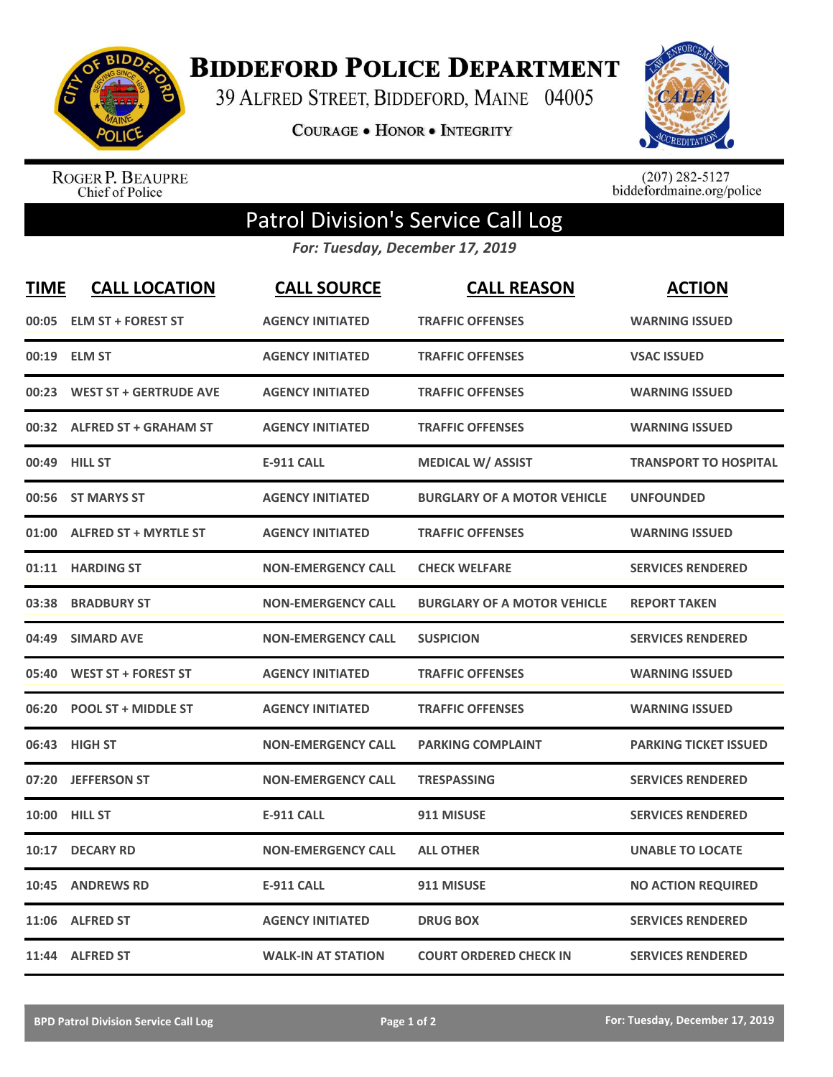

**BIDDEFORD POLICE DEPARTMENT** 

39 ALFRED STREET, BIDDEFORD, MAINE 04005

**COURAGE . HONOR . INTEGRITY** 



ROGER P. BEAUPRE<br>Chief of Police

 $(207)$  282-5127<br>biddefordmaine.org/police

## Patrol Division's Service Call Log

*For: Tuesday, December 17, 2019*

| <b>TIME</b> | <b>CALL LOCATION</b>          | <b>CALL SOURCE</b>        | <b>CALL REASON</b>                 | <b>ACTION</b>                |
|-------------|-------------------------------|---------------------------|------------------------------------|------------------------------|
| 00:05       | <b>ELM ST + FOREST ST</b>     | <b>AGENCY INITIATED</b>   | <b>TRAFFIC OFFENSES</b>            | <b>WARNING ISSUED</b>        |
| 00:19       | <b>ELM ST</b>                 | <b>AGENCY INITIATED</b>   | <b>TRAFFIC OFFENSES</b>            | <b>VSAC ISSUED</b>           |
| 00:23       | <b>WEST ST + GERTRUDE AVE</b> | <b>AGENCY INITIATED</b>   | <b>TRAFFIC OFFENSES</b>            | <b>WARNING ISSUED</b>        |
| 00:32       | <b>ALFRED ST + GRAHAM ST</b>  | <b>AGENCY INITIATED</b>   | <b>TRAFFIC OFFENSES</b>            | <b>WARNING ISSUED</b>        |
| 00:49       | <b>HILL ST</b>                | <b>E-911 CALL</b>         | <b>MEDICAL W/ ASSIST</b>           | <b>TRANSPORT TO HOSPITAL</b> |
|             | 00:56 ST MARYS ST             | <b>AGENCY INITIATED</b>   | <b>BURGLARY OF A MOTOR VEHICLE</b> | <b>UNFOUNDED</b>             |
| 01:00       | <b>ALFRED ST + MYRTLE ST</b>  | <b>AGENCY INITIATED</b>   | <b>TRAFFIC OFFENSES</b>            | <b>WARNING ISSUED</b>        |
| 01:11       | <b>HARDING ST</b>             | <b>NON-EMERGENCY CALL</b> | <b>CHECK WELFARE</b>               | <b>SERVICES RENDERED</b>     |
| 03:38       | <b>BRADBURY ST</b>            | <b>NON-EMERGENCY CALL</b> | <b>BURGLARY OF A MOTOR VEHICLE</b> | <b>REPORT TAKEN</b>          |
| 04:49       | <b>SIMARD AVE</b>             | <b>NON-EMERGENCY CALL</b> | <b>SUSPICION</b>                   | <b>SERVICES RENDERED</b>     |
| 05:40       | <b>WEST ST + FOREST ST</b>    | <b>AGENCY INITIATED</b>   | <b>TRAFFIC OFFENSES</b>            | <b>WARNING ISSUED</b>        |
| 06:20       | <b>POOL ST + MIDDLE ST</b>    | <b>AGENCY INITIATED</b>   | <b>TRAFFIC OFFENSES</b>            | <b>WARNING ISSUED</b>        |
| 06:43       | <b>HIGH ST</b>                | <b>NON-EMERGENCY CALL</b> | <b>PARKING COMPLAINT</b>           | <b>PARKING TICKET ISSUED</b> |
| 07:20       | <b>JEFFERSON ST</b>           | <b>NON-EMERGENCY CALL</b> | <b>TRESPASSING</b>                 | <b>SERVICES RENDERED</b>     |
| 10:00       | <b>HILL ST</b>                | <b>E-911 CALL</b>         | 911 MISUSE                         | <b>SERVICES RENDERED</b>     |
| 10:17       | <b>DECARY RD</b>              | <b>NON-EMERGENCY CALL</b> | <b>ALL OTHER</b>                   | <b>UNABLE TO LOCATE</b>      |
| 10:45       | <b>ANDREWS RD</b>             | <b>E-911 CALL</b>         | 911 MISUSE                         | <b>NO ACTION REQUIRED</b>    |
| 11:06       | <b>ALFRED ST</b>              | <b>AGENCY INITIATED</b>   | <b>DRUG BOX</b>                    | <b>SERVICES RENDERED</b>     |
|             | 11:44 ALFRED ST               | <b>WALK-IN AT STATION</b> | <b>COURT ORDERED CHECK IN</b>      | <b>SERVICES RENDERED</b>     |